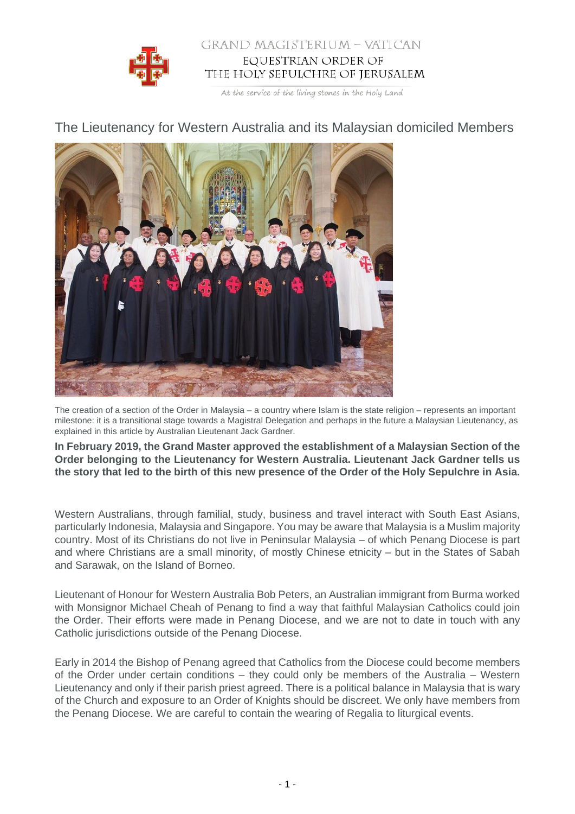

## GRAND MAGISTERIUM - VATICAN EQUESTRIAN ORDER OF THE HOLY SEPULCHRE OF JERUSALEM

At the service of the living stones in the Holy Land

## The Lieutenancy for Western Australia and its Malaysian domiciled Members



The creation of a section of the Order in Malaysia – a country where Islam is the state religion – represents an important milestone: it is a transitional stage towards a Magistral Delegation and perhaps in the future a Malaysian Lieutenancy, as explained in this article by Australian Lieutenant Jack Gardner.

**In February 2019, the Grand Master approved the establishment of a Malaysian Section of the Order belonging to the Lieutenancy for Western Australia. Lieutenant Jack Gardner tells us the story that led to the birth of this new presence of the Order of the Holy Sepulchre in Asia.**

Western Australians, through familial, study, business and travel interact with South East Asians, particularly Indonesia, Malaysia and Singapore. You may be aware that Malaysia is a Muslim majority country. Most of its Christians do not live in Peninsular Malaysia – of which Penang Diocese is part and where Christians are a small minority, of mostly Chinese etnicity – but in the States of Sabah and Sarawak, on the Island of Borneo.

Lieutenant of Honour for Western Australia Bob Peters, an Australian immigrant from Burma worked with Monsignor Michael Cheah of Penang to find a way that faithful Malaysian Catholics could join the Order. Their efforts were made in Penang Diocese, and we are not to date in touch with any Catholic jurisdictions outside of the Penang Diocese.

Early in 2014 the Bishop of Penang agreed that Catholics from the Diocese could become members of the Order under certain conditions – they could only be members of the Australia – Western Lieutenancy and only if their parish priest agreed. There is a political balance in Malaysia that is wary of the Church and exposure to an Order of Knights should be discreet. We only have members from the Penang Diocese. We are careful to contain the wearing of Regalia to liturgical events.